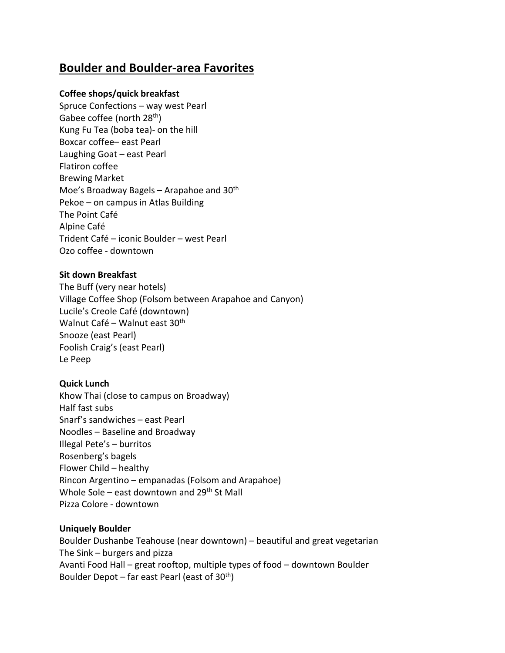# **Boulder and Boulder-area Favorites**

# **Coffee shops/quick breakfast**

Spruce Confections – way west Pearl Gabee coffee (north 28<sup>th</sup>) Kung Fu Tea (boba tea)- on the hill Boxcar coffee– east Pearl Laughing Goat – east Pearl Flatiron coffee Brewing Market Moe's Broadway Bagels – Arapahoe and 30<sup>th</sup> Pekoe – on campus in Atlas Building The Point Café Alpine Café Trident Café – iconic Boulder – west Pearl Ozo coffee - downtown

## **Sit down Breakfast**

The Buff (very near hotels) Village Coffee Shop (Folsom between Arapahoe and Canyon) Lucile's Creole Café (downtown) Walnut Café – Walnut east 30<sup>th</sup> Snooze (east Pearl) Foolish Craig's (east Pearl) Le Peep

## **Quick Lunch**

Khow Thai (close to campus on Broadway) Half fast subs Snarf's sandwiches – east Pearl Noodles – Baseline and Broadway Illegal Pete's – burritos Rosenberg's bagels Flower Child – healthy Rincon Argentino – empanadas (Folsom and Arapahoe) Whole Sole – east downtown and  $29<sup>th</sup>$  St Mall Pizza Colore - downtown

## **Uniquely Boulder**

Boulder Dushanbe Teahouse (near downtown) – beautiful and great vegetarian The Sink – burgers and pizza Avanti Food Hall – great rooftop, multiple types of food – downtown Boulder Boulder Depot – far east Pearl (east of  $30<sup>th</sup>$ )